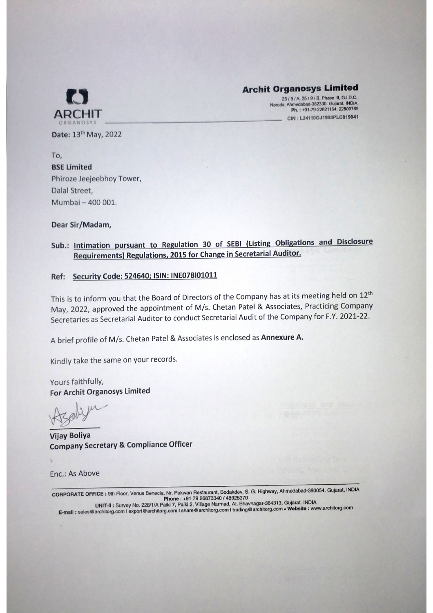

# **Archit Organosys Limited**<br>25/9/A, 25/9/B, Phase III, G.I.D.C.

Naroda, Ahmedabad-382330. Gujarat, INDIA. ARCHIT CIN : L24110GJ1993PLC019941

 $\sim$  132.  $\sim$  132.  $\sim$  132.  $\sim$  132.  $\sim$  132.  $\sim$  132.  $\sim$  132.  $\sim$  132.  $\sim$  132.  $\sim$  132.  $\sim$  132.  $\sim$  132.  $\sim$  132.  $\sim$  132.  $\sim$  132.  $\sim$  132.  $\sim$  132.  $\sim$  132.  $\sim$  132.  $\sim$  132.  $\sim$  132.  $\sim$  132.

To, BSE Limited Phiroze Jeejeebhoy Tower, Dalal Street. Mumbai -400 001.

Dear Sir/Madam,

### Sub.: Intimation pursuant to Regulation <sup>30</sup> of SEBI (Listing Obligations and Disclosure Requirements) Regulations. <sup>2015</sup> for Change in Secretarial Auditor.

#### Ref: Security Code: 524640; ISIN: INE078101011

This is to inform you that the Board of Directors of the Company has at its meeting held on <sup>12</sup> May, 2022, approved the appointment of M/s. Chetan Patel & Associates, Practicing Company Secretaries as Secretarial Auditor to conduct Secretarial Audit of the Company for F.Y. 2021-22.

brief profile of M/s. Chetan Patel Associates is enclosed as Annexure A.

Kindly take the same on your records.

Yours faithfully, For Archit Organosys Limited

Vijay Boliya Company Secretary Compliance Officer

Enc.: As Above

CORPORATE OFFICE : 9th Floor, Venus Benecia, Nr. Pakwan Restaurant, Bodakdev, S. G. Highway, Ahmedabad-380054. Gujarat, INDIA **Phone +91 79 26834 34925 48925** 

Survey No. 228/1/A Paiki 7, Paiki 2, Village Narmad, At. Bhavnagar-384313, Mahelta 2004/3 E-mail : sales @architorg.com | export @architorg.com | share @architorg.com | databage architecty.com www.architecture.com | export @architorg.com | export @architorg.com | export @architorg.com | export @architorg.com |